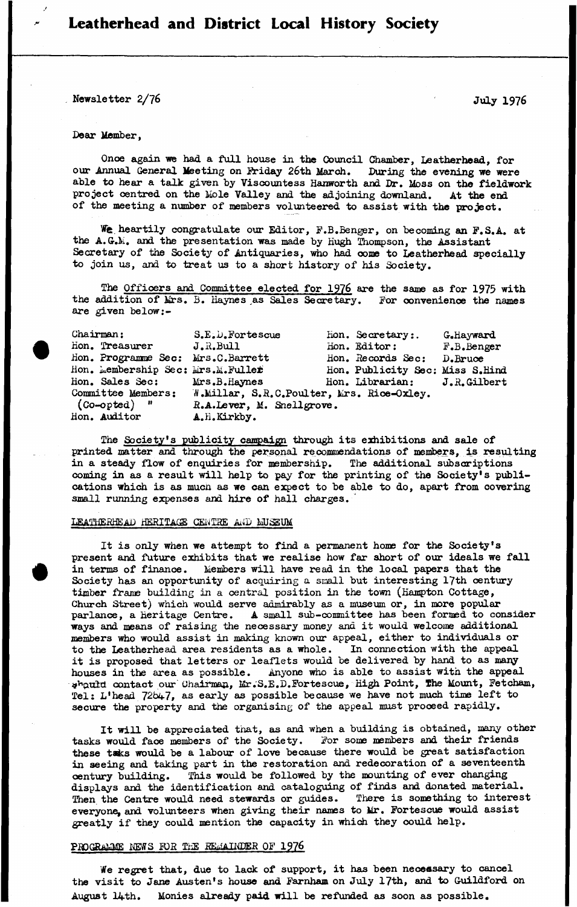# Leatherhead and District Local History Society

Newsletter 2/76 July 1976

#### Dear Member,

Once again we had a full house in the Council Chamber, Leatherhead, for our Annual General Meeting on Friday 26th March. During the evening we were able to hear a talk given by Viscountess Hanworth and Dr. Moss on the fieldwork project centred on the Mole Valley and the adjoining downland. At the end of the meeting a number of members volunteered to assist with the project.

We. heartily congratulate our Editor, F.B.Benger, on becoming an F.S.A. at the A. G.M. and the presentation was made by Hugh Thompson, the Assistant Secretary of the Society of Antiquaries, who had come to Leatherhead specially to join us, and to treat us to a short history of his Society.

The Officers and Committee elected for 1976 are the same as for 1975 with the addition of Mrs. B. Haynes as Sales Secretary. For convenience the names are given below

| Chairman:                         | S.E.D.Fortescue                                              | Hon. Secretary:.                | G.Hayward  |
|-----------------------------------|--------------------------------------------------------------|---------------------------------|------------|
| Hon. Treasurer                    | J.R.Bull                                                     | Hon. Editor:                    | F.B.Benger |
| Hon. Programme Sec: Mrs.C.Barrett |                                                              | Hon. Records Sec:               | D. Bruce   |
| Hon. Membership Sec: Mrs.M.Fuller |                                                              | Hon. Publicity Sec: Miss S.Hind |            |
| Hon. Sales Sec: Mrs.B.Haynes      |                                                              | Hon. Librarian: J.R.Gilbert     |            |
|                                   | Committee Members: W.Millar, S.R.C.Poulter, Mrs. Rice-Oxley. |                                 |            |
| $(Co\text{-}opted)$ "             | R.A.Lever, M. Snellgrove.                                    |                                 |            |
| Hon. Auditor                      | A.H.Kirkby.                                                  |                                 |            |

The Society's publicity campaign through its exhibitions and sale of printed matter and through the personal recommendations of members, is resulting in a steady flow of enquiries for membership. The additional subscriptions coming in as a result will help to pay for the printing of the Society's publications which is as much as we can expect to be able to do, apart from covering small running expenses and hire of hall charges.

### LEATHERHEAD HERITAGE CENTRE AND MUSEUM

It is only when we attempt to find a permanent home for the Society's present and future exhibits that we realise how far short of our ideals we fall in terms of finance. Members will have read in the local papers that the Society has an opportunity of acquiring a small but interesting 17th century timber frame building in a central position in the town (Hampton Cottage, Church Street) which would serve admirably as a museum or, in more popular parlance, a Heritage Centre. A small sub-committee has been formed to consider ways and means of raising the necessary money and it would welcome additional members who would assist in making known our appeal, either to individuals or to the Leatherhead area residents as a whole. In connection with the appeal it is proposed that letters or leaflets would be delivered by hand to as many houses in the area as possible. Anyone who is able to assist with the appeal should contact our Chairman, Mr.S.E.D.Fortescue, High Point, The Mount, Fetcham, Tel: L'head 72647, as early as possible because we have not much time left to secure the property and the organising of the appeal must proceed rapidly.

It will be appreciated that, as and when a building is obtained, many other tasks would face members of the Society. For some members and their friends these taks would be a labour of love because there would be great satisfaction in seeing and taking part in the restoration and redecoration of a seventeenth century building. This would be followed by the mounting of ever changing displays and the identification and cataloguing of finds and donated material. Then the Centre would need stewards or guides. There is something to interest everyone, and volunteers when giving their names to Mr. Fortescue would assist greatly if they could mention the capacity in which they could help.

### PROGRAMME NEWS FOR THE REMAINDER OF 1976

We regret that, due to lack of support, it has been necessary to cancel the visit to Jane Austen's house and Farnham on July 17th, and to Guildford on August l4th. Monies already paid will be refunded as soon as possible.